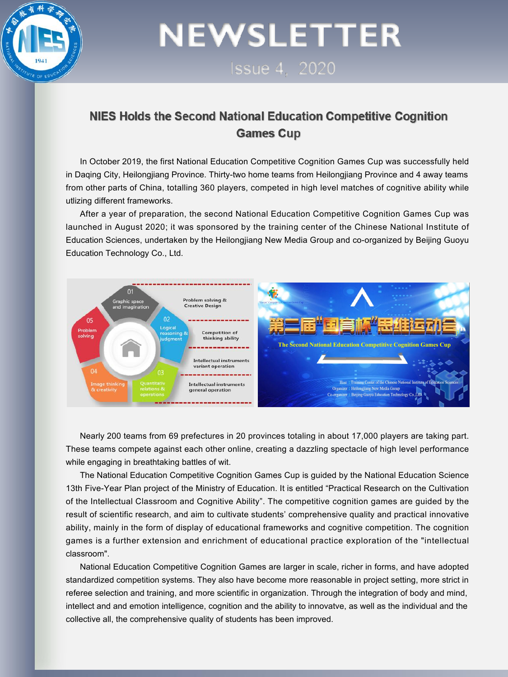

# **NEWSLETTER**

**Issue 4 2020** 

#### NIES Holds the Second National Education Competitive Cognition **Games Cup**

In October 2019, the first National Education Competitive Cognition Games Cup was successfully held in Daging City, Heilongiiang Province. Thirty-two home teams from Heilongiiang Province and 4 away teams from other parts of China, totalling 360 players, competed in high level matches of cognitive ability while utlizing different frameworks.

After a year of preparation, the second National Education Competitive Cognition Games Cup was launched in August 2020; it was sponsored by the training center of the Chinese National Institute of Education Sciences, undertaken by the Heilongjiang New MediaGroup and co-organized by Beijing Guoyu Education Technology Co., Ltd.



Nearly 200 teams from 69 prefectures in 20 provinces totaling in about 17,000 players are taking part. These teams compete against each other online, creating a dazzling spectacle of high level performance while engaging in breathtaking battles of wit.

The National Education Competitive Cognition Games Cup isguided by the National Education Science 13th Five-Year Plan project of the Ministry of Education. It is entitled "Practical Research on the Cultivation of the Intellectual Classroom and Cognitive Ability". The competitive cognition games are guided by the result of scientific research, and aim to cultivate students' comprehensive quality and practical innovative ability, mainly in the form of display of educational frameworks and cognitive competition. The cognition games is a further extension and enrichment of educational practice exploration of the "intellectual classroom".

National Education Competitive Cognition Games are larger in scale, richer in forms, and have adopted standardized competition systems. They also have become more reasonable in project setting, more strict in referee selection and training, and more scientific in organization. Through the integration of body and mind, intellect and and emotion intelligence, cognition and the ability to innovatve, as well as the individual and the collective all, the comprehensive quality of students has been improved.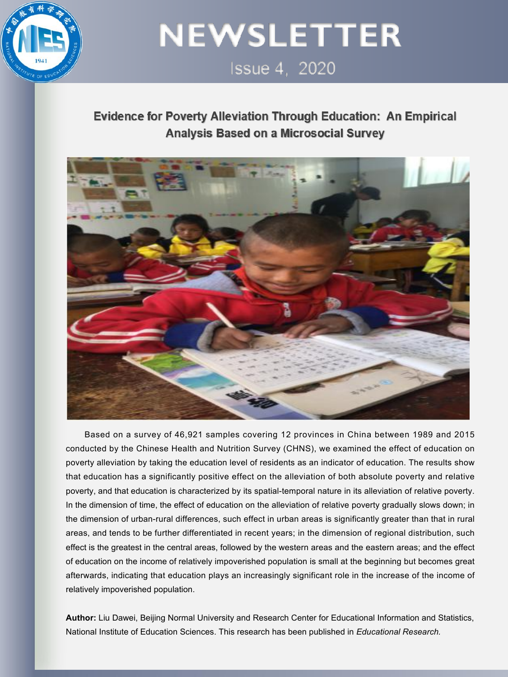

### **NEWSLETTER Issue 4. 2020**

### **Evidence for Poverty Alleviation Through Education: An Empirical** Analysis Based on a Microsocial Survey



Based on a survey of 46,921 samples covering 12 provinces in China between 1989 and 2015 conducted by the Chinese Health and Nutrition Survey (CHNS), we examined the effect of education on poverty alleviation by taking the education level of residents as an indicatorof education. The results show that education has a significantly positive effect on the alleviation of both absolute poverty and relative poverty, and that education is characterized by its spatial-temporal nature in its alleviation of relative poverty. In the dimension of time, the effect of education on the alleviation of relative poverty gradually slows down; in the dimension of urban-rural differences, such effect in urban areas is significantly greater than that in rural areas, and tends to be further differentiated in recent years; in the dimension of regional distribution, such effect is the greatest in the central areas, followed by the western areas and the eastern areas; and the effect of education on the income of relatively impoverished population is small at the beginning but becomes great afterwards, indicating that education plays an increasingly significant role in the increase of the income of relatively impoverished population.

**Author:** Liu Dawei, Beijing Normal University and Research Center for Educational Information and Statistics, National Institute of Education Sciences. This research has been published in *Educational Research.*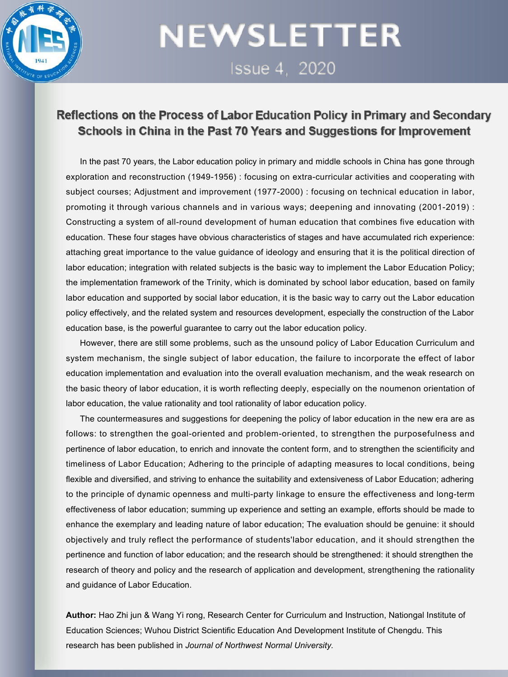

### **NEWSLETTER** Issue 4, 2020

#### Reflections on the Process of Labor Education Policy in Primary and Secondary Schools in China in the Past 70 Years and Suggestions for Improvement

In the past 70 years, the Labor education policy in primary and middle schools in China has gone through exploration and reconstruction (1949-1956) : focusing on extra-curricular activities and cooperating with subject courses; Adjustment and improvement (1977-2000) : focusing on technical education in labor, promoting it through various channels and in various ways; deepening and innovating (2001-2019) : Constructing a system of all-round development of human education that combines five education with education. These four stages have obvious characteristics of stages and have accumulated rich experience: attaching great importance to the value guidance of ideology and ensuring that it is the political direction of labor education; integration with related subjects is the basic way to implement the Labor Education Policy; the implementation framework of the Trinity, which is dominated by school labor education, based on family labor education and supported by social labor education, it is the basic way to carry out the Labor education policy effectively, and the related system and resources development, especially the construction of the Labor education base, is the powerful quarantee to carry out the labor education policy.

However, there are still some problems, such as the unsound policy of Labor Education Curriculum and system mechanism, the single subject of labor education, the failure to incorporate the effect of labor education implementation and evaluation into the overall evaluation mechanism, and the weak research on the basic theory of labor education, it is worth reflecting deeply, especially on the noumenon orientation of labor education, the value rationality and tool rationality of labor education policy.

The countermeasures and suggestions for deepening the policy of labor education in the new era are as follows: to strengthen the goal-oriented and problem-oriented, to strengthen the purposefulness and pertinence of labor education, to enrich and innovate the contentform, and to strengthen the scientificity and timeliness of Labor Education; Adhering to the principle of adapting measures to local conditions, being flexible and diversified, and striving to enhance the suitability and extensiveness of Labor Education; adhering to the principle of dynamic openness and multi-party linkage to ensure the effectiveness and long-term effectiveness of labor education; summing up experience and setting an example, efforts should be made to enhance the exemplary and leading nature of labor education; The evaluation should be genuine: it should objectively and truly reflect the performance of students'labor education, and it should strengthen the pertinence and function of labor education; and the research should be strengthened: it should strengthen the research of theory and policy and the research of application and development, strengthening the rationality and guidance of Labor Education.

**Author:** Hao Zhi jun & Wang Yi rong, Research Center for Curriculum and Instruction, Nationgal Institute of Education Sciences; Wuhou District Scientific Education And Development Institute of Chengdu. This research has been published in *Journal of Northwest Normal University.*